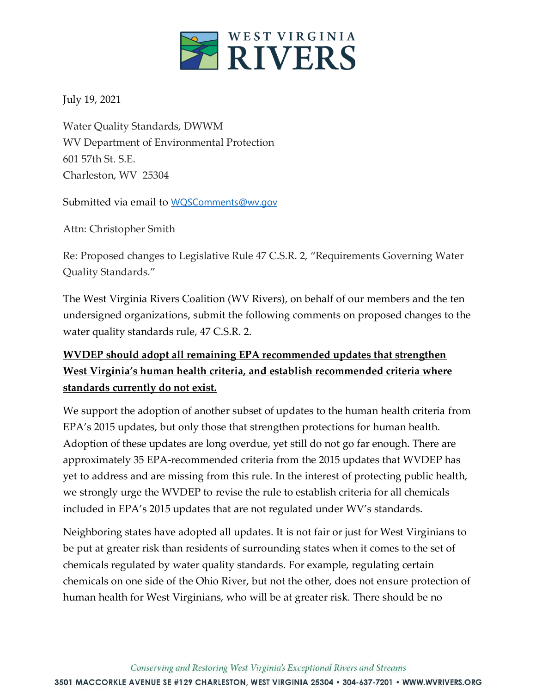

July 19, 2021

Water Quality Standards, DWWM WV Department of Environmental Protection 601 57th St. S.E. Charleston, WV 25304

Submitted via email to WQSComments@wv.gov

Attn: Christopher Smith

Re: Proposed changes to Legislative Rule 47 C.S.R. 2, "Requirements Governing Water Quality Standards."

The West Virginia Rivers Coalition (WV Rivers), on behalf of our members and the ten undersigned organizations, submit the following comments on proposed changes to the water quality standards rule, 47 C.S.R. 2.

# **WVDEP should adopt all remaining EPA recommended updates that strengthen West Virginia's human health criteria, and establish recommended criteria where standards currently do not exist.**

We support the adoption of another subset of updates to the human health criteria from EPA's 2015 updates, but only those that strengthen protections for human health. Adoption of these updates are long overdue, yet still do not go far enough. There are approximately 35 EPA-recommended criteria from the 2015 updates that WVDEP has yet to address and are missing from this rule. In the interest of protecting public health, we strongly urge the WVDEP to revise the rule to establish criteria for all chemicals included in EPA's 2015 updates that are not regulated under WV's standards.

Neighboring states have adopted all updates. It is not fair or just for West Virginians to be put at greater risk than residents of surrounding states when it comes to the set of chemicals regulated by water quality standards. For example, regulating certain chemicals on one side of the Ohio River, but not the other, does not ensure protection of human health for West Virginians, who will be at greater risk. There should be no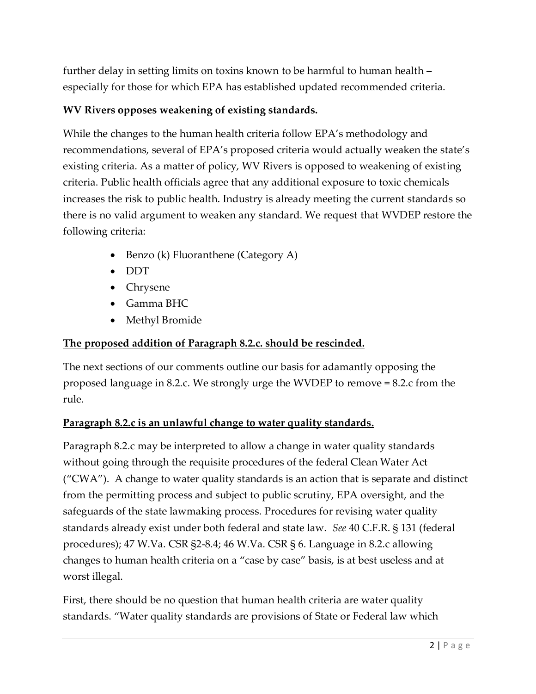further delay in setting limits on toxins known to be harmful to human health – especially for those for which EPA has established updated recommended criteria.

#### **WV Rivers opposes weakening of existing standards.**

While the changes to the human health criteria follow EPA's methodology and recommendations, several of EPA's proposed criteria would actually weaken the state's existing criteria. As a matter of policy, WV Rivers is opposed to weakening of existing criteria. Public health officials agree that any additional exposure to toxic chemicals increases the risk to public health. Industry is already meeting the current standards so there is no valid argument to weaken any standard. We request that WVDEP restore the following criteria:

- $\bullet$  Benzo (k) Fluoranthene (Category A)
- DDT
- Chrysene
- Gamma BHC
- Methyl Bromide

### **The proposed addition of Paragraph 8.2.c. should be rescinded.**

The next sections of our comments outline our basis for adamantly opposing the proposed language in 8.2.c. We strongly urge the WVDEP to remove = 8.2.c from the rule.

### **Paragraph 8.2.c is an unlawful change to water quality standards.**

Paragraph 8.2.c may be interpreted to allow a change in water quality standards without going through the requisite procedures of the federal Clean Water Act ("CWA"). A change to water quality standards is an action that is separate and distinct from the permitting process and subject to public scrutiny, EPA oversight, and the safeguards of the state lawmaking process. Procedures for revising water quality standards already exist under both federal and state law. *See* 40 C.F.R. § 131 (federal procedures); 47 W.Va. CSR §2-8.4; 46 W.Va. CSR § 6. Language in 8.2.c allowing changes to human health criteria on a "case by case" basis, is at best useless and at worst illegal.

First, there should be no question that human health criteria are water quality standards. "Water quality standards are provisions of State or Federal law which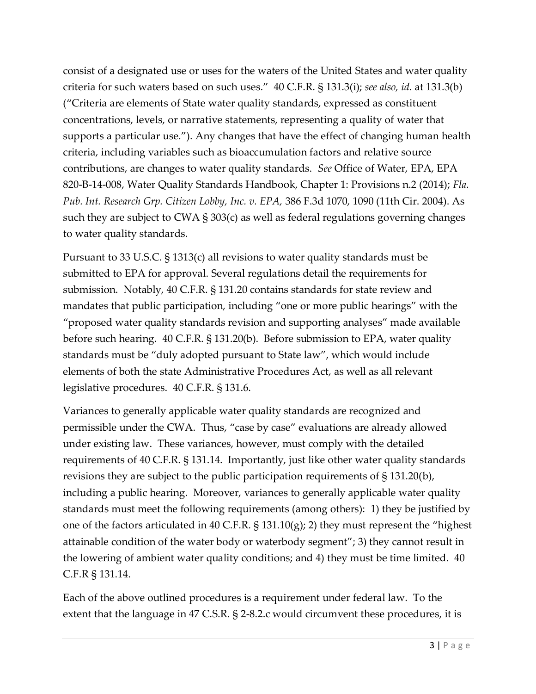consist of a designated use or uses for the waters of the United States and water quality criteria for such waters based on such uses." 40 C.F.R. § 131.3(i); *see also, id.* at 131.3(b) ("Criteria are elements of State water quality standards, expressed as constituent concentrations, levels, or narrative statements, representing a quality of water that supports a particular use."). Any changes that have the effect of changing human health criteria, including variables such as bioaccumulation factors and relative source contributions, are changes to water quality standards. *See* Office of Water, EPA, EPA 820-B-14-008, Water Quality Standards Handbook, Chapter 1: Provisions n.2 (2014); *Fla. Pub. Int. Research Grp. Citizen Lobby, Inc. v. EPA,* 386 F.3d 1070, 1090 (11th Cir. 2004). As such they are subject to CWA § 303(c) as well as federal regulations governing changes to water quality standards.

Pursuant to 33 U.S.C. § 1313(c) all revisions to water quality standards must be submitted to EPA for approval. Several regulations detail the requirements for submission. Notably, 40 C.F.R. § 131.20 contains standards for state review and mandates that public participation, including "one or more public hearings" with the "proposed water quality standards revision and supporting analyses" made available before such hearing. 40 C.F.R. § 131.20(b). Before submission to EPA, water quality standards must be "duly adopted pursuant to State law", which would include elements of both the state Administrative Procedures Act, as well as all relevant legislative procedures. 40 C.F.R. § 131.6.

Variances to generally applicable water quality standards are recognized and permissible under the CWA. Thus, "case by case" evaluations are already allowed under existing law. These variances, however, must comply with the detailed requirements of 40 C.F.R. § 131.14. Importantly, just like other water quality standards revisions they are subject to the public participation requirements of § 131.20(b), including a public hearing. Moreover, variances to generally applicable water quality standards must meet the following requirements (among others): 1) they be justified by one of the factors articulated in 40 C.F.R. § 131.10(g); 2) they must represent the "highest attainable condition of the water body or waterbody segment"; 3) they cannot result in the lowering of ambient water quality conditions; and 4) they must be time limited. 40 C.F.R § 131.14.

Each of the above outlined procedures is a requirement under federal law. To the extent that the language in 47 C.S.R. § 2-8.2.c would circumvent these procedures, it is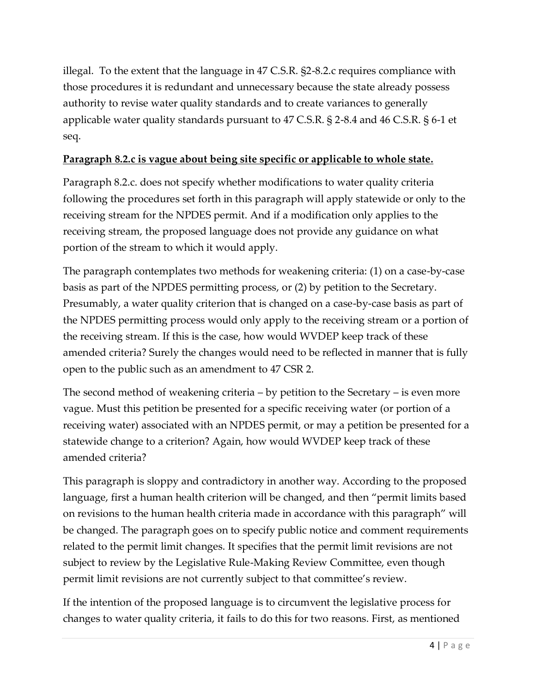illegal. To the extent that the language in 47 C.S.R. §2-8.2.c requires compliance with those procedures it is redundant and unnecessary because the state already possess authority to revise water quality standards and to create variances to generally applicable water quality standards pursuant to 47 C.S.R. § 2-8.4 and 46 C.S.R. § 6-1 et seq.

### **Paragraph 8.2.c is vague about being site specific or applicable to whole state.**

Paragraph 8.2.c. does not specify whether modifications to water quality criteria following the procedures set forth in this paragraph will apply statewide or only to the receiving stream for the NPDES permit. And if a modification only applies to the receiving stream, the proposed language does not provide any guidance on what portion of the stream to which it would apply.

The paragraph contemplates two methods for weakening criteria: (1) on a case-by-case basis as part of the NPDES permitting process, or (2) by petition to the Secretary. Presumably, a water quality criterion that is changed on a case-by-case basis as part of the NPDES permitting process would only apply to the receiving stream or a portion of the receiving stream. If this is the case, how would WVDEP keep track of these amended criteria? Surely the changes would need to be reflected in manner that is fully open to the public such as an amendment to 47 CSR 2.

The second method of weakening criteria – by petition to the Secretary – is even more vague. Must this petition be presented for a specific receiving water (or portion of a receiving water) associated with an NPDES permit, or may a petition be presented for a statewide change to a criterion? Again, how would WVDEP keep track of these amended criteria?

This paragraph is sloppy and contradictory in another way. According to the proposed language, first a human health criterion will be changed, and then "permit limits based on revisions to the human health criteria made in accordance with this paragraph" will be changed. The paragraph goes on to specify public notice and comment requirements related to the permit limit changes. It specifies that the permit limit revisions are not subject to review by the Legislative Rule-Making Review Committee, even though permit limit revisions are not currently subject to that committee's review.

If the intention of the proposed language is to circumvent the legislative process for changes to water quality criteria, it fails to do this for two reasons. First, as mentioned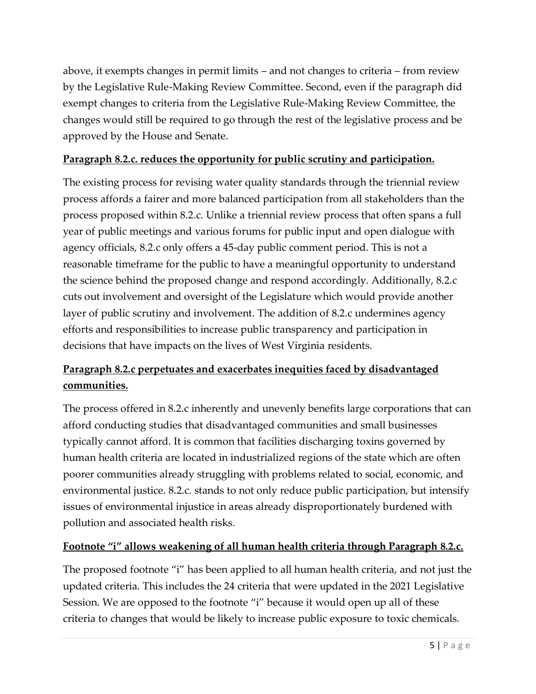above, it exempts changes in permit limits – and not changes to criteria – from review by the Legislative Rule-Making Review Committee. Second, even if the paragraph did exempt changes to criteria from the Legislative Rule-Making Review Committee, the changes would still be required to go through the rest of the legislative process and be approved by the House and Senate.

### **Paragraph 8.2.c. reduces the opportunity for public scrutiny and participation.**

The existing process for revising water quality standards through the triennial review process affords a fairer and more balanced participation from all stakeholders than the process proposed within 8.2.c. Unlike a triennial review process that often spans a full year of public meetings and various forums for public input and open dialogue with agency officials, 8.2.c only offers a 45-day public comment period. This is not a reasonable timeframe for the public to have a meaningful opportunity to understand the science behind the proposed change and respond accordingly. Additionally, 8.2.c cuts out involvement and oversight of the Legislature which would provide another layer of public scrutiny and involvement. The addition of 8.2.c undermines agency efforts and responsibilities to increase public transparency and participation in decisions that have impacts on the lives of West Virginia residents.

## **Paragraph 8.2.c perpetuates and exacerbates inequities faced by disadvantaged communities.**

The process offered in 8.2.c inherently and unevenly benefits large corporations that can afford conducting studies that disadvantaged communities and small businesses typically cannot afford. It is common that facilities discharging toxins governed by human health criteria are located in industrialized regions of the state which are often poorer communities already struggling with problems related to social, economic, and environmental justice. 8.2.c. stands to not only reduce public participation, but intensify issues of environmental injustice in areas already disproportionately burdened with pollution and associated health risks.

#### **Footnote "i" allows weakening of all human health criteria through Paragraph 8.2.c.**

The proposed footnote "i" has been applied to all human health criteria, and not just the updated criteria. This includes the 24 criteria that were updated in the 2021 Legislative Session. We are opposed to the footnote "i" because it would open up all of these criteria to changes that would be likely to increase public exposure to toxic chemicals.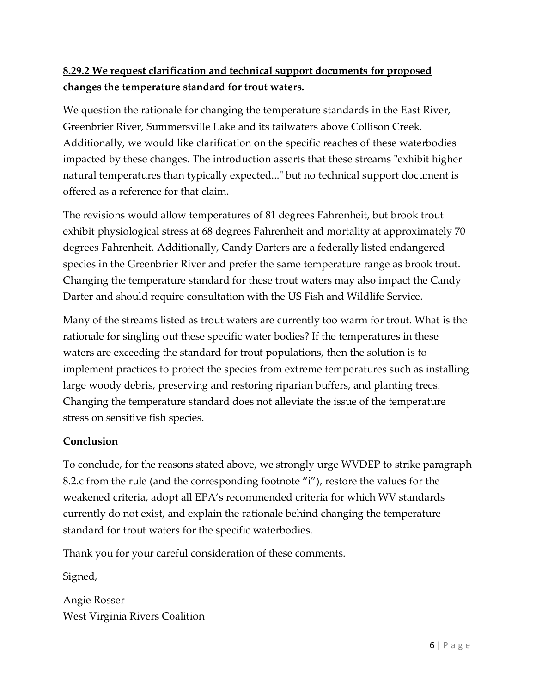## **8.29.2 We request clarification and technical support documents for proposed changes the temperature standard for trout waters.**

We question the rationale for changing the temperature standards in the East River, Greenbrier River, Summersville Lake and its tailwaters above Collison Creek. Additionally, we would like clarification on the specific reaches of these waterbodies impacted by these changes. The introduction asserts that these streams "exhibit higher natural temperatures than typically expected..." but no technical support document is offered as a reference for that claim.

The revisions would allow temperatures of 81 degrees Fahrenheit, but brook trout exhibit physiological stress at 68 degrees Fahrenheit and mortality at approximately 70 degrees Fahrenheit. Additionally, Candy Darters are a federally listed endangered species in the Greenbrier River and prefer the same temperature range as brook trout. Changing the temperature standard for these trout waters may also impact the Candy Darter and should require consultation with the US Fish and Wildlife Service.

Many of the streams listed as trout waters are currently too warm for trout. What is the rationale for singling out these specific water bodies? If the temperatures in these waters are exceeding the standard for trout populations, then the solution is to implement practices to protect the species from extreme temperatures such as installing large woody debris, preserving and restoring riparian buffers, and planting trees. Changing the temperature standard does not alleviate the issue of the temperature stress on sensitive fish species.

#### **Conclusion**

To conclude, for the reasons stated above, we strongly urge WVDEP to strike paragraph 8.2.c from the rule (and the corresponding footnote "i"), restore the values for the weakened criteria, adopt all EPA's recommended criteria for which WV standards currently do not exist, and explain the rationale behind changing the temperature standard for trout waters for the specific waterbodies.

Thank you for your careful consideration of these comments.

Signed,

Angie Rosser West Virginia Rivers Coalition